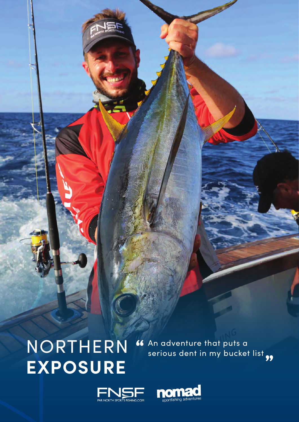## NORTHERN **EXPOSURE**

An adventure that puts a serious dent in my bucket list " "



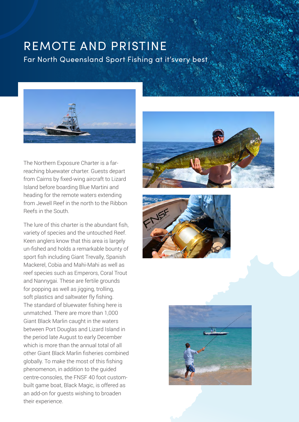## REMOTE AND PRISTINE

Far North Queensland Sport Fishing at it'svery best



The Northern Exposure Charter is a farreaching bluewater charter. Guests depart from Cairns by fixed-wing aircraft to Lizard Island before boarding Blue Martini and heading for the remote waters extending from Jewell Reef in the north to the Ribbon Reefs in the South.

The lure of this charter is the abundant fish, variety of species and the untouched Reef. Keen anglers know that this area is largely un-fished and holds a remarkable bounty of sport fish including Giant Trevally, Spanish Mackerel, Cobia and Mahi-Mahi as well as reef species such as Emperors, Coral Trout and Nannygai. These are fertile grounds for popping as well as jigging, trolling, soft plastics and saltwater fly fishing. The standard of bluewater fishing here is unmatched. There are more than 1,000 Giant Black Marlin caught in the waters between Port Douglas and Lizard Island in the period late August to early December which is more than the annual total of all other Giant Black Marlin fisheries combined globally. To make the most of this fishing phenomenon, in addition to the guided centre-consoles, the FNSF 40 foot custombuilt game boat, Black Magic, is offered as an add-on for guests wishing to broaden their experience.





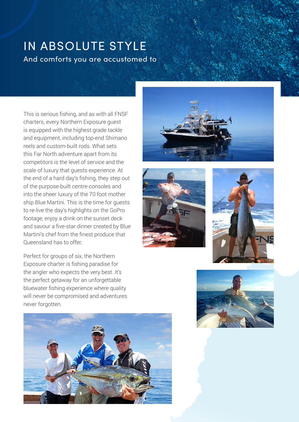## IN ABSOLUTE STYLE And comforts you are accustomed to

This is serious fishing, and as with all FNSF charters, every Northern Exposure guest is equipped with the highest grade tackle and equipment, including top-end Shimano reels and custom-built rods. What sets this Far North adventure apart from its competitors is the level of service and the scale of luxury that guests experience. At the end of a hard day's fishing, they step out of the purpose-built centre-consoles and into the sheer luxury of the 70 foot mother ship Blue Martini. This is the time for guests to re-live the day's highlights on the GoPro footage, enjoy a drink on the sunset deck and savour a five-star dinner created by Blue Martini's chef from the finest produce that Queensland has to offer.

Perfect for groups of six, the Northern Exposure charter is fishing paradise for the angler who expects the very best. It's the perfect getaway for an unforgettable bluewater fishing experience where quality will never be compromised and adventures never forgotten.